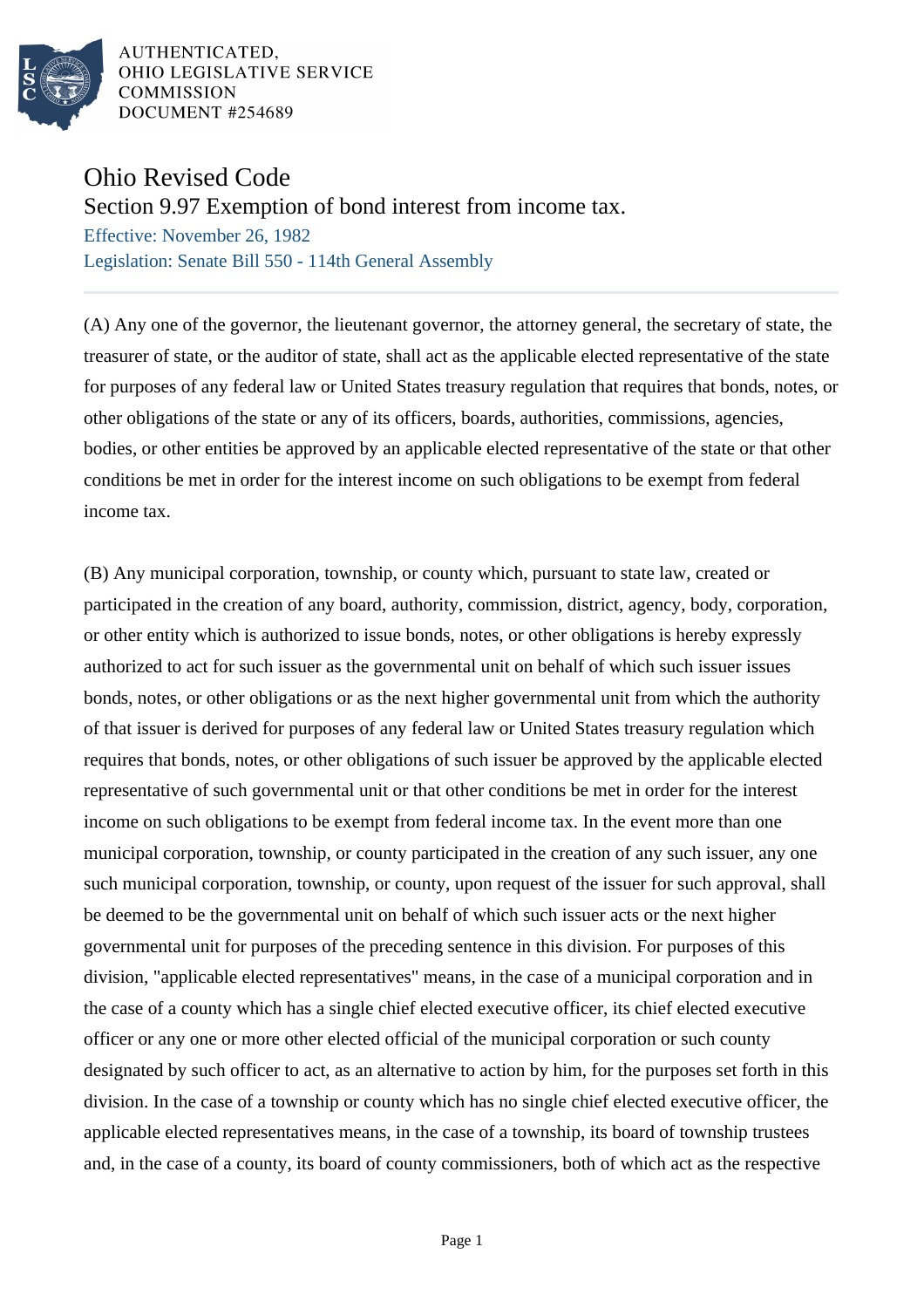

AUTHENTICATED. OHIO LEGISLATIVE SERVICE **COMMISSION** DOCUMENT #254689

## Ohio Revised Code

Section 9.97 Exemption of bond interest from income tax.

Effective: November 26, 1982 Legislation: Senate Bill 550 - 114th General Assembly

(A) Any one of the governor, the lieutenant governor, the attorney general, the secretary of state, the treasurer of state, or the auditor of state, shall act as the applicable elected representative of the state for purposes of any federal law or United States treasury regulation that requires that bonds, notes, or other obligations of the state or any of its officers, boards, authorities, commissions, agencies, bodies, or other entities be approved by an applicable elected representative of the state or that other conditions be met in order for the interest income on such obligations to be exempt from federal income tax.

(B) Any municipal corporation, township, or county which, pursuant to state law, created or participated in the creation of any board, authority, commission, district, agency, body, corporation, or other entity which is authorized to issue bonds, notes, or other obligations is hereby expressly authorized to act for such issuer as the governmental unit on behalf of which such issuer issues bonds, notes, or other obligations or as the next higher governmental unit from which the authority of that issuer is derived for purposes of any federal law or United States treasury regulation which requires that bonds, notes, or other obligations of such issuer be approved by the applicable elected representative of such governmental unit or that other conditions be met in order for the interest income on such obligations to be exempt from federal income tax. In the event more than one municipal corporation, township, or county participated in the creation of any such issuer, any one such municipal corporation, township, or county, upon request of the issuer for such approval, shall be deemed to be the governmental unit on behalf of which such issuer acts or the next higher governmental unit for purposes of the preceding sentence in this division. For purposes of this division, "applicable elected representatives" means, in the case of a municipal corporation and in the case of a county which has a single chief elected executive officer, its chief elected executive officer or any one or more other elected official of the municipal corporation or such county designated by such officer to act, as an alternative to action by him, for the purposes set forth in this division. In the case of a township or county which has no single chief elected executive officer, the applicable elected representatives means, in the case of a township, its board of township trustees and, in the case of a county, its board of county commissioners, both of which act as the respective